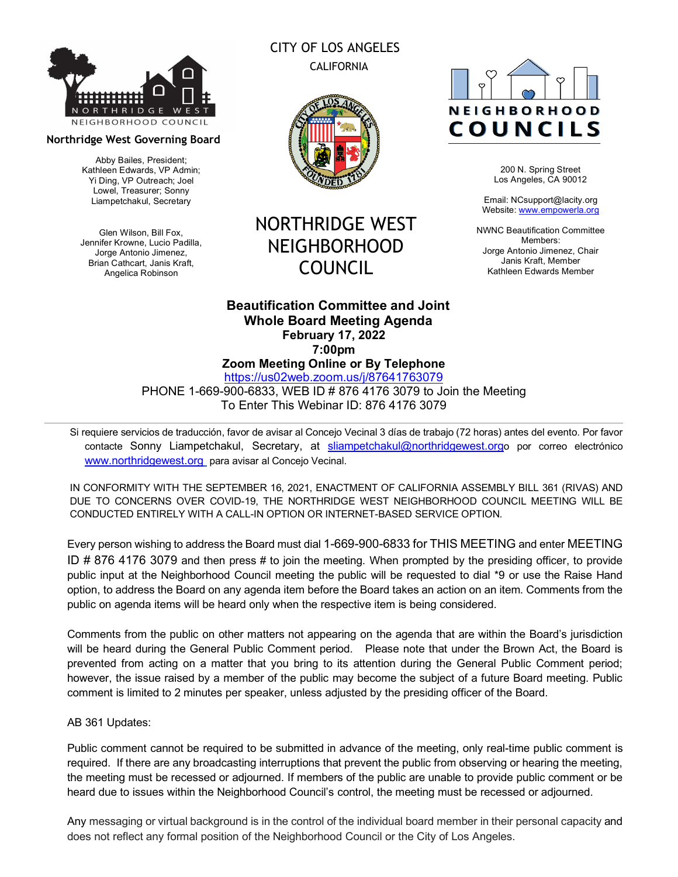

#### **Northridge West Governing Board**

Abby Bailes, President; Kathleen Edwards, VP Admin; Yi Ding, VP Outreach; Joel Lowel, Treasurer; Sonny Liampetchakul, Secretary

Glen Wilson, Bill Fox, Jennifer Krowne, Lucio Padilla, Jorge Antonio Jimenez, Brian Cathcart, Janis Kraft, Angelica Robinson

# CITY OF LOS ANGELES CALIFORNIA



# NORTHRIDGE WEST NEIGHBORHOOD COUNCIL

# **NEIGHBORHOOD** COUNCILS

200 N. Spring Street Los Angeles, CA 90012

Email: NCsupport@lacity.org Website: www.empowerla.org

NWNC Beautification Committee Members: Jorge Antonio Jimenez, Chair Janis Kraft, Member Kathleen Edwards Member

# **Beautification Committee and Joint Whole Board Meeting Agenda February 17, 2022 7:00pm Zoom Meeting Online or By Telephone**

https://us02web.zoom.us/j/87641763079 PHONE 1-669-900-6833, WEB ID # 876 4176 3079 to Join the Meeting

To Enter This Webinar ID: 876 4176 3079

Si requiere servicios de traducción, favor de avisar al Concejo Vecinal 3 días de trabajo (72 horas) antes del evento. Por favor contacte Sonny Liampetchakul, Secretary, at sliampetchakul@northridgewest.orgo por correo electrónico www.northridgewest.org para avisar al Concejo Vecinal.

IN CONFORMITY WITH THE SEPTEMBER 16, 2021, ENACTMENT OF CALIFORNIA ASSEMBLY BILL 361 (RIVAS) AND DUE TO CONCERNS OVER COVID-19, THE NORTHRIDGE WEST NEIGHBORHOOD COUNCIL MEETING WILL BE CONDUCTED ENTIRELY WITH A CALL-IN OPTION OR INTERNET-BASED SERVICE OPTION.

Every person wishing to address the Board must dial 1-669-900-6833 for THIS MEETING and enter MEETING ID # 876 4176 3079 and then press # to join the meeting. When prompted by the presiding officer, to provide public input at the Neighborhood Council meeting the public will be requested to dial \*9 or use the Raise Hand option, to address the Board on any agenda item before the Board takes an action on an item. Comments from the public on agenda items will be heard only when the respective item is being considered.

Comments from the public on other matters not appearing on the agenda that are within the Board's jurisdiction will be heard during the General Public Comment period. Please note that under the Brown Act, the Board is prevented from acting on a matter that you bring to its attention during the General Public Comment period; however, the issue raised by a member of the public may become the subject of a future Board meeting. Public comment is limited to 2 minutes per speaker, unless adjusted by the presiding officer of the Board.

# AB 361 Updates:

Public comment cannot be required to be submitted in advance of the meeting, only real-time public comment is required. If there are any broadcasting interruptions that prevent the public from observing or hearing the meeting, the meeting must be recessed or adjourned. If members of the public are unable to provide public comment or be heard due to issues within the Neighborhood Council's control, the meeting must be recessed or adjourned.

Any messaging or virtual background is in the control of the individual board member in their personal capacity and does not reflect any formal position of the Neighborhood Council or the City of Los Angeles.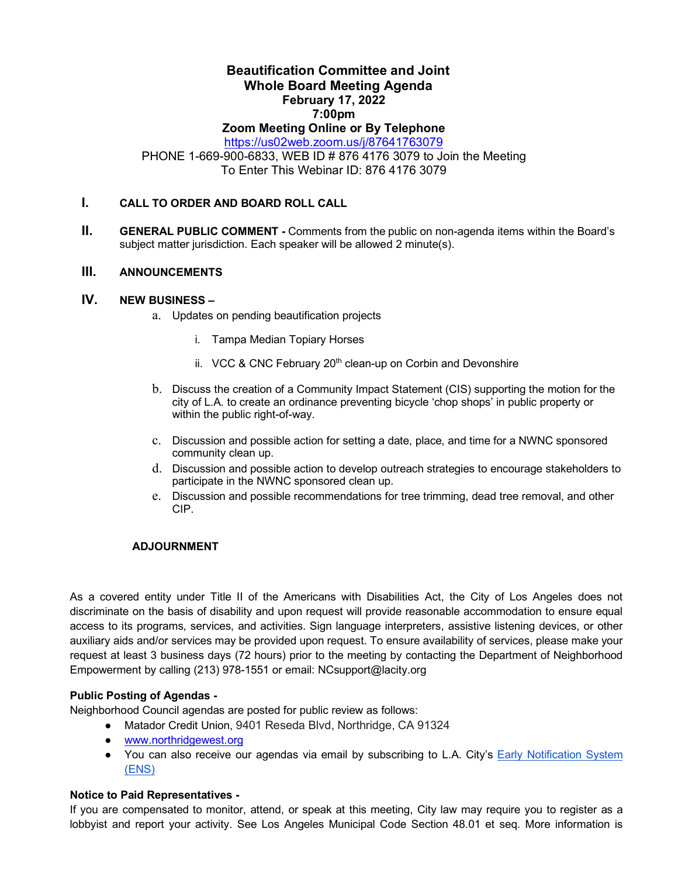# **Beautification Committee and Joint Whole Board Meeting Agenda February 17, 2022 7:00pm**

# **Zoom Meeting Online or By Telephone**

https://us02web.zoom.us/j/87641763079

PHONE 1-669-900-6833, WEB ID # 876 4176 3079 to Join the Meeting To Enter This Webinar ID: 876 4176 3079

# **I. CALL TO ORDER AND BOARD ROLL CALL**

**II. GENERAL PUBLIC COMMENT -** Comments from the public on non-agenda items within the Board's subject matter jurisdiction. Each speaker will be allowed 2 minute(s).

#### **III. ANNOUNCEMENTS**

## **IV. NEW BUSINESS –**

- a. Updates on pending beautification projects
	- i. Tampa Median Topiary Horses
	- ii. VCC & CNC February 20<sup>th</sup> clean-up on Corbin and Devonshire
- b. Discuss the creation of a Community Impact Statement (CIS) supporting the motion for the city of L.A. to create an ordinance preventing bicycle 'chop shops' in public property or within the public right-of-way.
- c. Discussion and possible action for setting a date, place, and time for a NWNC sponsored community clean up.
- d. Discussion and possible action to develop outreach strategies to encourage stakeholders to participate in the NWNC sponsored clean up.
- e. Discussion and possible recommendations for tree trimming, dead tree removal, and other CIP.

### **ADJOURNMENT**

As a covered entity under Title II of the Americans with Disabilities Act, the City of Los Angeles does not discriminate on the basis of disability and upon request will provide reasonable accommodation to ensure equal access to its programs, services, and activities. Sign language interpreters, assistive listening devices, or other auxiliary aids and/or services may be provided upon request. To ensure availability of services, please make your request at least 3 business days (72 hours) prior to the meeting by contacting the Department of Neighborhood Empowerment by calling (213) 978-1551 or email: NCsupport@lacity.org

# **Public Posting of Agendas -**

Neighborhood Council agendas are posted for public review as follows:

- Matador Credit Union, 9401 Reseda Blvd, Northridge, CA 91324
	- www.northridgewest.org
- You can also receive our agendas via email by subscribing to L.A. City's **Early Notification System** (ENS)

#### **Notice to Paid Representatives -**

If you are compensated to monitor, attend, or speak at this meeting, City law may require you to register as a lobbyist and report your activity. See Los Angeles Municipal Code Section 48.01 et seq. More information is